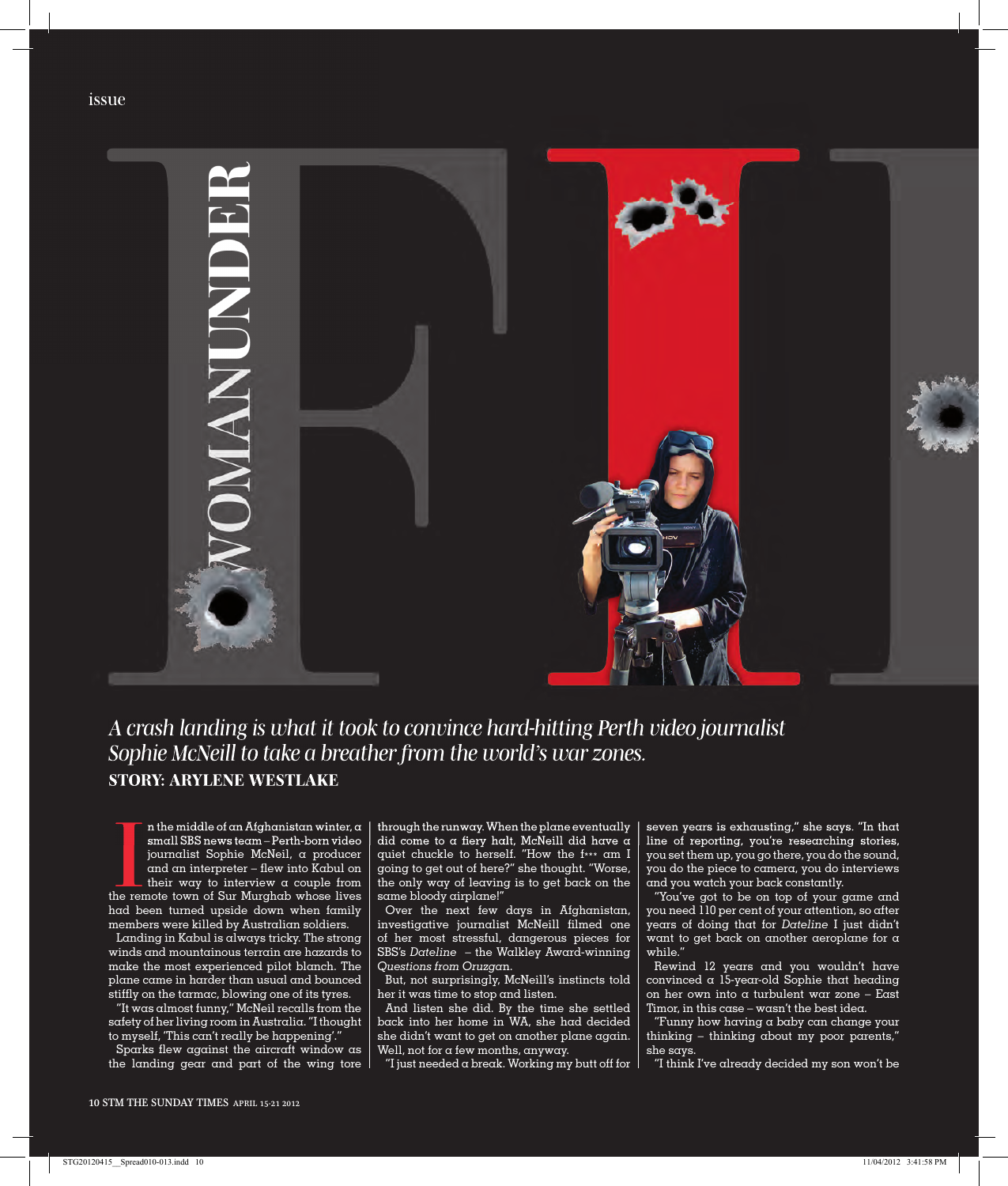

## *A crash landing is what it took to convince hard-hitting Perth video journalist Sophie McNeill to take a breather from the world's war zones.* **STORY: ARYLENE WESTLAKE**

 $\begin{tabular}{|c|c|} \hline \quad \text{n the middle of an Afghanistan winter, $\alpha$} \quad \text{small SBS news team – Perth-born video} \quad \text{journal} \quad \text{Sophie McNeil, $\alpha$ producer} \quad \text{and an interpreter -- few into Kabul on their way to interview $\alpha$ couple from the remote town of Sur Murghab whose lives} \end{tabular}$ n the middle of an Afghanistan winter, a small SBS news team – Perth-born video journalist Sophie McNeil, a producer and an interpreter – flew into Kabul on their way to interview  $\alpha$  couple from had been turned upside down when family members were killed by Australian soldiers.

Landing in Kabul is always tricky. The strong winds and mountainous terrain are hazards to make the most experienced pilot blanch. The plane came in harder than usual and bounced stiffly on the tarmac, blowing one of its tyres.

"It was almost funny," McNeil recalls from the safety of her living room in Australia. "I thought to myself, 'This  $can't really be happening'.$ 

Sparks flew against the aircraft window as the landing gear and part of the wing tore through the runway. When the plane eventually did come to a fiery halt, McNeill did have a quiet chuckle to herself. "How the f\*\*\* am I going to get out of here?'' she thought. "Worse, the only way of leaving is to get back on the same bloody airplane!''

Over the next few days in Afghanistan, investigative journalist McNeill filmed one of her most stressful, dangerous pieces for SBS's *Dateline* – the Walkley Award-winning *Questions from Oruzga*n.

But, not surprisingly, McNeill's instincts told her it was time to stop and listen.

And listen she did. By the time she settled back into her home in WA, she had decided she didn't want to get on another plane again. Well, not for a few months, anyway.

"I just needed  $\alpha$  break. Working my butt off for

seven years is exhausting," she says. "In that line of reporting, you're researching stories, you set them up, you go there, you do the sound, you do the piece to camera, you do interviews and you watch your back constantly.

"You've got to be on top of your game and you need 110 per cent of your attention, so after years of doing that for *Dateline* I just didn't want to get back on another aeroplane for a while."

Rewind 12 years and you wouldn't have convinced a 15-year-old Sophie that heading on her own into a turbulent war zone – East Timor, in this case – wasn't the best idea.

"Funny how having a baby can change your thinking – thinking about my poor parents," she says.

"I think I've already decided my son won't be

issue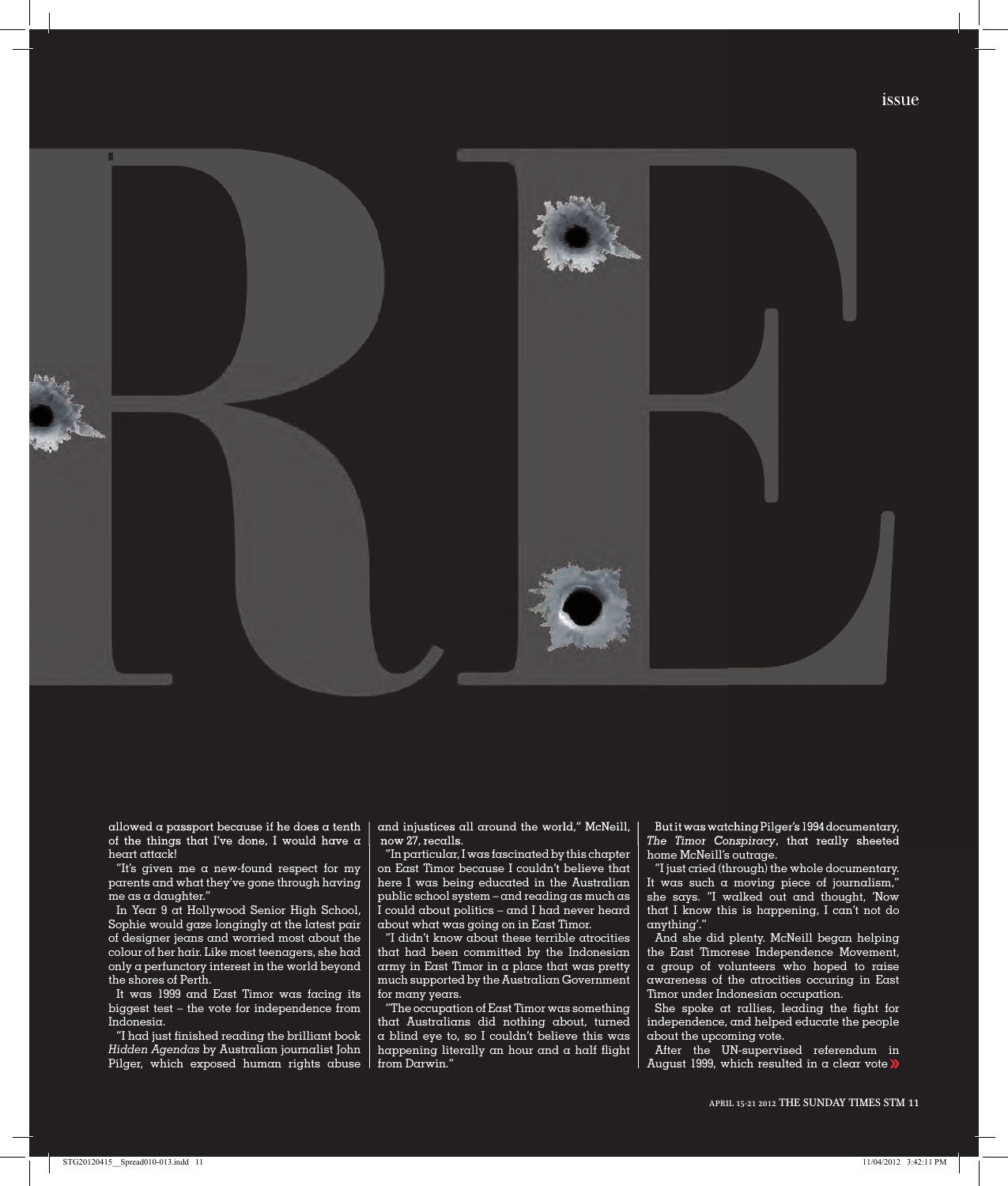

allowed a passport because if he does a tenth of the things that I've done, I would have a heart attack!

"It's given me a new-found respect for my parents and what they've gone through having me as a daughter."

In Year 9 at Hollywood Senior High School, Sophie would gaze longingly at the latest pair of designer jeans and worried most about the colour of her hair. Like most teenagers, she had only a perfunctory interest in the world beyond the shores of Perth.

It was 1999 and East Timor was facing its biggest test – the vote for independence from Indonesia.

"I had just finished reading the brilliant book *Hidden Agendas* by Australian journalist John Pilger, which exposed human rights abuse

and injustices all around the world," McNeill, now 27, recalls.

"In particular, I was fascinated by this chapter on East Timor because I couldn't believe that here I was being educated in the Australian public school system – and reading as much as I could about politics – and I had never heard about what was going on in East Timor.

"I didn't know about these terrible atrocities that had been committed by the Indonesian army in East Timor in a place that was pretty much supported by the Australian Government for many years.

"The occupation of East Timor was something that Australians did nothing about, turned a blind eye to, so I couldn't believe this was happening literally an hour and  $\alpha$  half flight from Darwin."

But it was watching Pilger's 1994 documentary, *The Timor Conspiracy*, that really sheeted home McNeill's outrage.

"I just cried (through) the whole documentary. It was such a moving piece of journalism, she says. "I walked out and thought, 'Now that I know this is happening, I can't not do anything'

And she did plenty. McNeill began helping the East Timorese Independence Movement, a group of volunteers who hoped to raise awareness of the atrocities occuring in East Timor under Indonesian occupation.

She spoke at rallies, leading the fight for independence, and helped educate the people about the upcoming vote.

After the UN-supervised referendum in August 1999, which resulted in  $\alpha$  clear vote  $\lambda$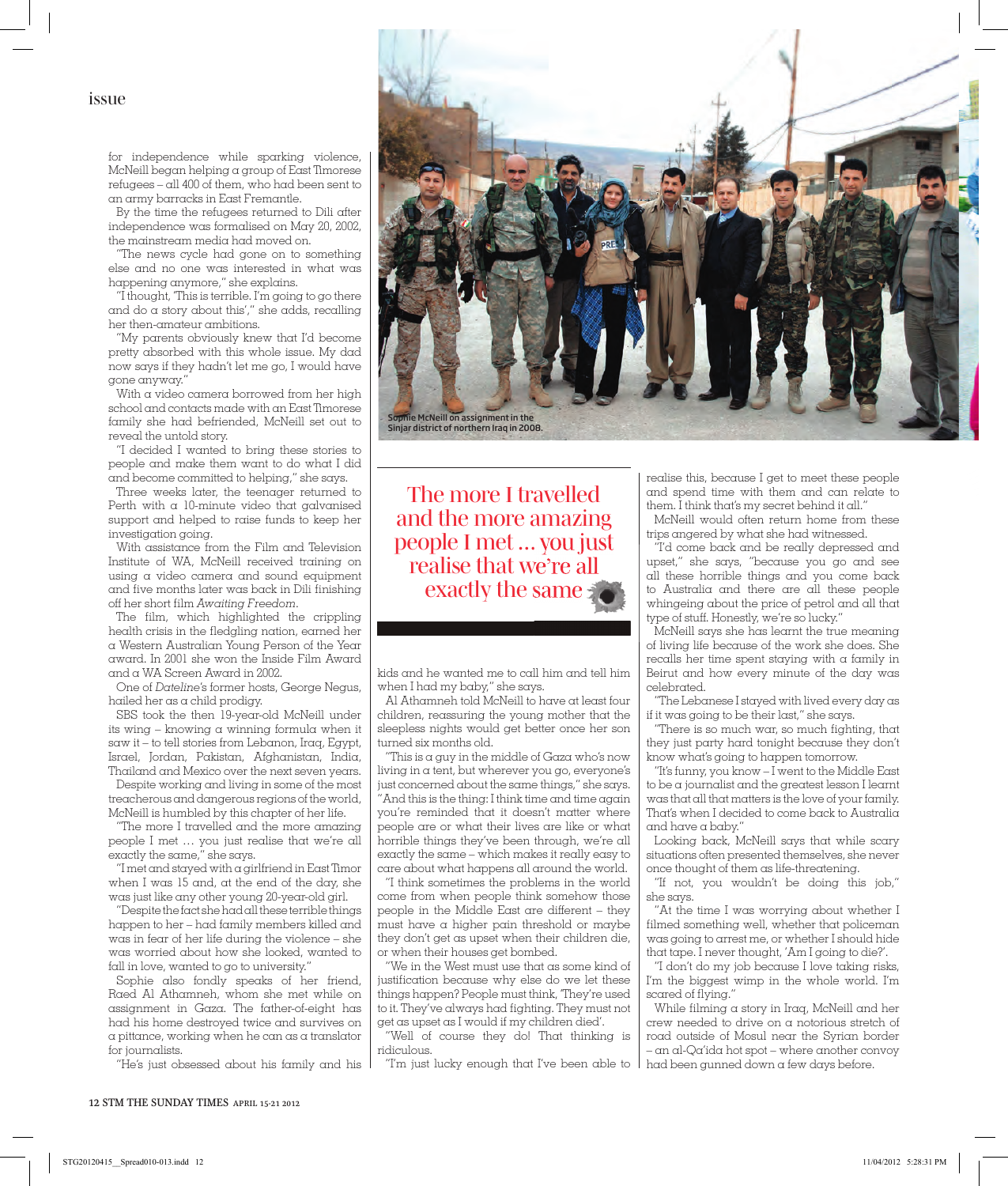issue

for independence while sparking violence, McNeill began helping a group of East Timorese refugees – all 400 of them, who had been sent to an army barracks in East Fremantle.

By the time the refugees returned to Dili after independence was formalised on May 20, 2002, the mainstream media had moved on.

"The news cycle had gone on to something else and no one was interested in what was happening anymore," she explains.

"I thought, 'This is terrible. I'm going to go there and do a story about this'," she adds, recalling her then-amateur ambitions.

"My parents obviously knew that I'd become pretty absorbed with this whole issue. My dad now says if they hadn't let me go, I would have gone anyway."

With a video camera borrowed from her high school and contacts made with an East Timorese family she had befriended, McNeill set out to reveal the untold story.

"I decided I wanted to bring these stories to people and make them want to do what I did and become committed to helping," she says.

Three weeks later, the teenager returned to Perth with a 10-minute video that galvanised support and helped to raise funds to keep her investigation going.

With assistance from the Film and Television Institute of WA, McNeill received training on using a video camera and sound equipment and five months later was back in Dili finishing off her short film Awaiting Freedom.

The film, which highlighted the crippling health crisis in the fledgling nation, earned her a Western Australian Young Person of the Year award. In 2001 she won the Inside Film Award and a WA Screen Award in 2002.

One of *Dateline*'s former hosts, George Negus, hailed her as a child prodigy.

SBS took the then 19-year-old McNeill under its wing – knowing a winning formula when it saw it – to tell stories from Lebanon, Iraq, Egypt, Israel, Jordan, Pakistan, Afghanistan, India, Thailand and Mexico over the next seven years.

Despite working and living in some of the most treacherous and dangerous regions of the world, McNeill is humbled by this chapter of her life.

"The more I travelled and the more amazing people I met ... you just realise that we're all exactly the same," she says.

"I met and stayed with a girlfriend in East Timor when I was 15 and, at the end of the day, she was just like any other young 20-year-old girl.

"Despite the fact she had all these terrible things happen to her – had family members killed and was in fear of her life during the violence – she was worried about how she looked, wanted to fall in love, wanted to go to university."

Sophie also fondly speaks of her friend, Raed Al Athamneh, whom she met while on assignment in Gaza. The father-of-eight has had his home destroyed twice and survives on a pittance, working when he can as a translator for journalists.

"He's just obsessed about his family and his



The more I travelled and the more amazing people I met ... you just realise that we're all exactly the same

kids and he wanted me to call him and tell him when I had my baby," she says.

Al Athamneh told McNeill to have at least four children, reassuring the young mother that the sleepless nights would get better once her son turned six months old.

"This is a guy in the middle of Gaza who's now living in a tent, but wherever you go, everyone's just concerned about the same things," she says. "And this is the thing: I think time and time again you're reminded that it doesn't matter where people are or what their lives are like or what horrible things they've been through, we're all exactly the same – which makes it really easy to care about what happens all around the world.

"I think sometimes the problems in the world come from when people think somehow those people in the Middle East are different – they must have a higher pain threshold or maybe they don't get as upset when their children die, or when their houses get bombed.

"We in the West must use that as some kind of justification because why else do we let these things happen? People must think, 'They're used to it. They've always had fighting. They must not get as upset as I would if my children died'.

"Well of course they do! That thinking is ridiculous.

"I'm just lucky enough that I've been able to had been gunned down a few days before.

realise this, because I get to meet these people and spend time with them and can relate to them. I think that's my secret behind it all."

McNeill would often return home from these trips angered by what she had witnessed.

"I'd come back and be really depressed and upset," she says, "because you go and see all these horrible things and you come back to Australia and there are all these people whingeing about the price of petrol and all that type of stuff. Honestly, we're so lucky."

McNeill says she has learnt the true meaning of living life because of the work she does. She recalls her time spent staying with a family in Beirut and how every minute of the day was celebrated.

"The Lebanese I stayed with lived every day as if it was going to be their last," she says.

"There is so much war, so much fighting, that they just party hard tonight because they don't know what's going to happen tomorrow.

"It's funny, you know – I went to the Middle East to be a journalist and the greatest lesson I learnt was that all that matters is the love of your family. That's when I decided to come back to Australia and have a baby."

Looking back, McNeill says that while scary situations often presented themselves, she never once thought of them as life-threatening.

"If not, you wouldn't be doing this job," she says.

"At the time I was worrying about whether I filmed something well, whether that policeman was going to arrest me, or whether I should hide that tape. I never thought, 'Am I going to die?'.

"I don't do my job because I love taking risks, I'm the biggest wimp in the whole world. I'm scared of flying."

While filming a story in Iraq, McNeill and her crew needed to drive on a notorious stretch of road outside of Mosul near the Syrian border – an al-Qa'ida hot spot – where another convoy

12 STM THE SUNDAY TIMES APRIL 15-21 2012